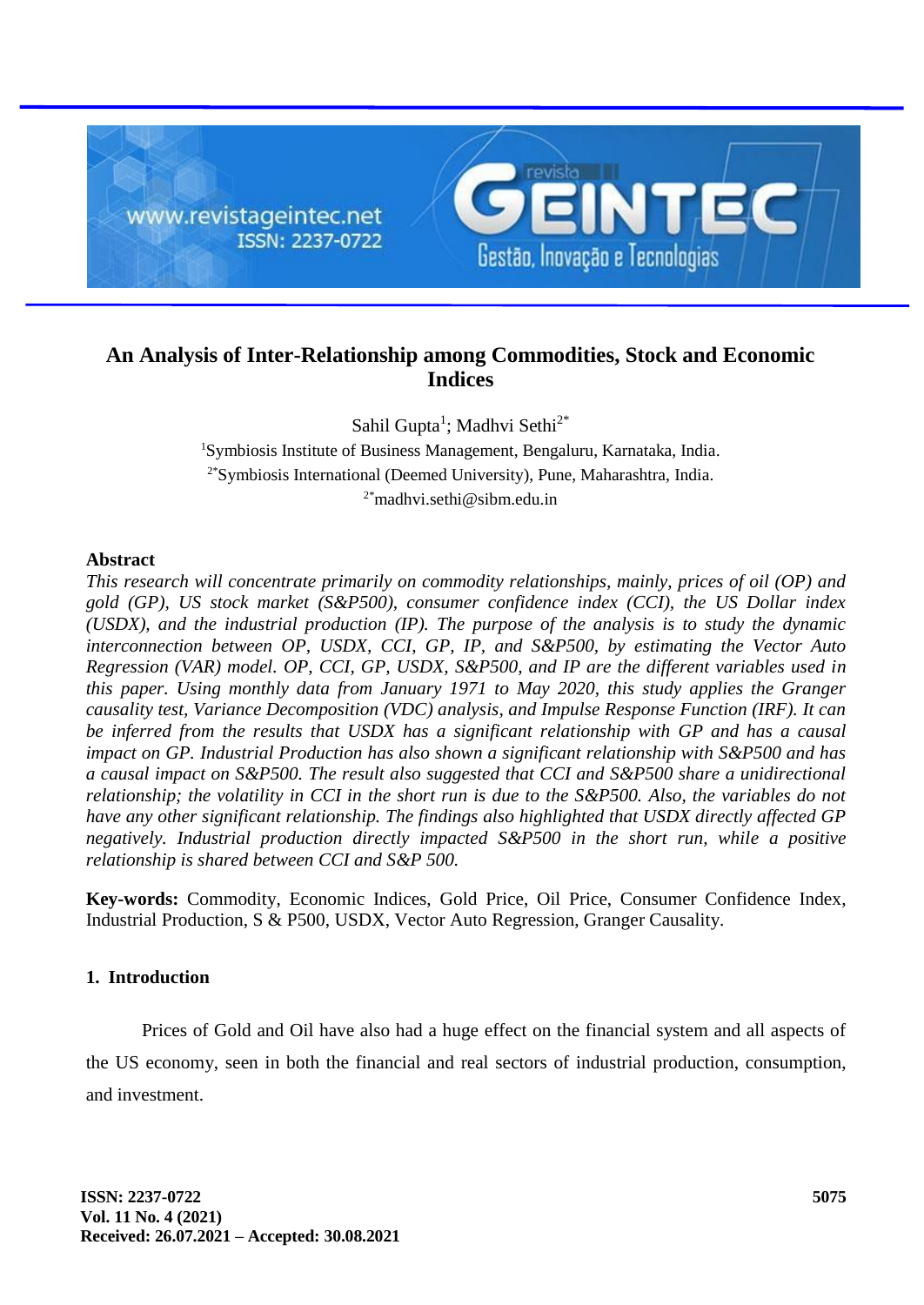

# **An Analysis of Inter-Relationship among Commodities, Stock and Economic Indices**

Sahil Gupta<sup>1</sup>; Madhvi Sethi<sup>2\*</sup>

<sup>1</sup>Symbiosis Institute of Business Management, Bengaluru, Karnataka, India. 2\*Symbiosis International (Deemed University), Pune, Maharashtra, India.  $2*$ madhvi.sethi@sibm.edu.in

# **Abstract**

*This research will concentrate primarily on commodity relationships, mainly, prices of oil (OP) and gold (GP), US stock market (S&P500), consumer confidence index (CCI), the US Dollar index (USDX), and the industrial production (IP). The purpose of the analysis is to study the dynamic interconnection between OP, USDX, CCI, GP, IP, and S&P500, by estimating the Vector Auto Regression (VAR) model. OP, CCI, GP, USDX, S&P500, and IP are the different variables used in this paper. Using monthly data from January 1971 to May 2020, this study applies the Granger causality test, Variance Decomposition (VDC) analysis, and Impulse Response Function (IRF). It can be inferred from the results that USDX has a significant relationship with GP and has a causal impact on GP. Industrial Production has also shown a significant relationship with S&P500 and has a causal impact on S&P500. The result also suggested that CCI and S&P500 share a unidirectional relationship; the volatility in CCI in the short run is due to the S&P500. Also, the variables do not have any other significant relationship. The findings also highlighted that USDX directly affected GP negatively. Industrial production directly impacted S&P500 in the short run, while a positive relationship is shared between CCI and S&P 500.*

**Key-words:** Commodity, Economic Indices, Gold Price, Oil Price, Consumer Confidence Index, Industrial Production, S & P500, USDX, Vector Auto Regression, Granger Causality.

# **1. Introduction**

Prices of Gold and Oil have also had a huge effect on the financial system and all aspects of the US economy, seen in both the financial and real sectors of industrial production, consumption, and investment.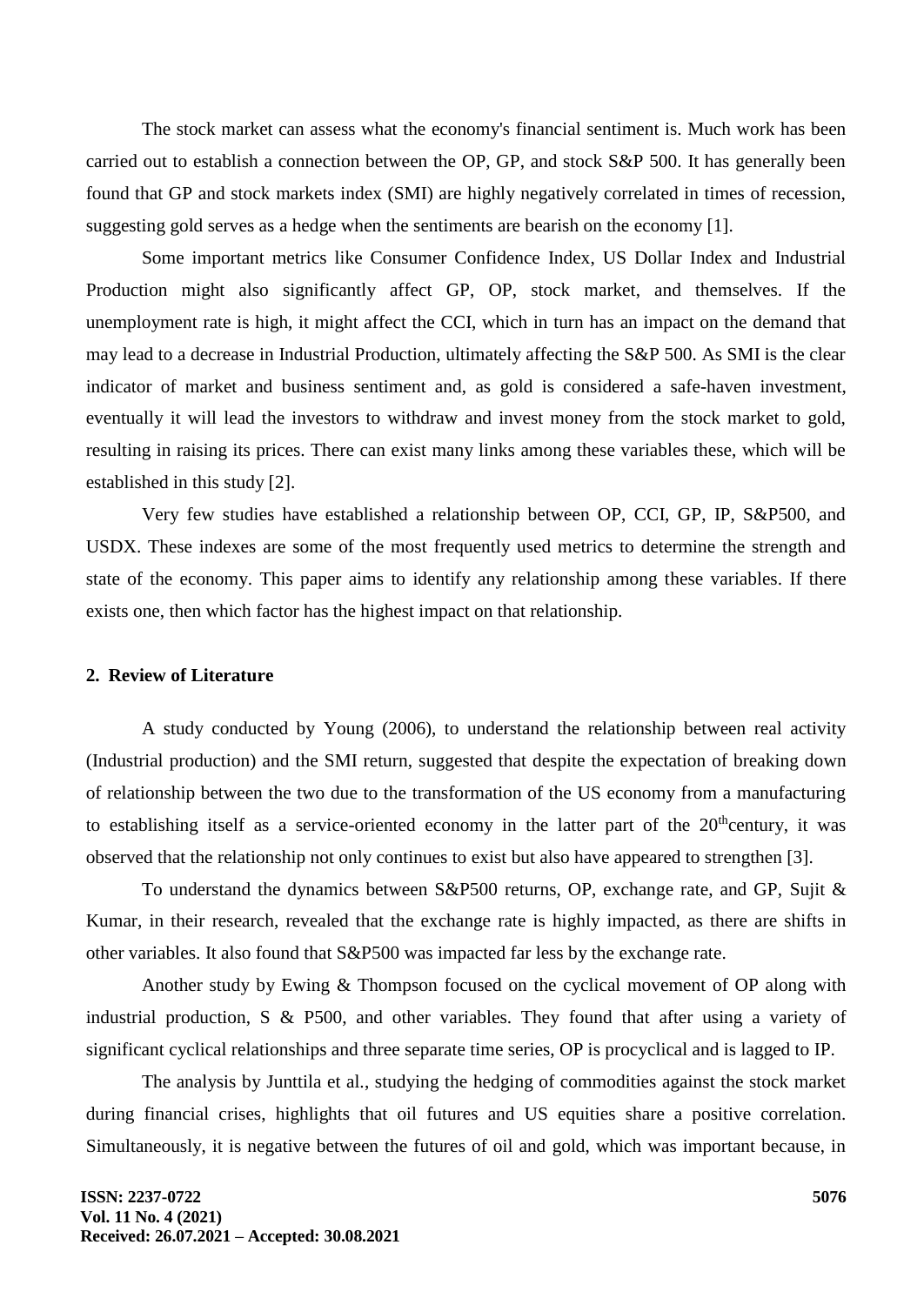The stock market can assess what the economy's financial sentiment is. Much work has been carried out to establish a connection between the OP, GP, and stock S&P 500. It has generally been found that GP and stock markets index (SMI) are highly negatively correlated in times of recession, suggesting gold serves as a hedge when the sentiments are bearish on the economy [1].

Some important metrics like Consumer Confidence Index, US Dollar Index and Industrial Production might also significantly affect GP, OP, stock market, and themselves. If the unemployment rate is high, it might affect the CCI, which in turn has an impact on the demand that may lead to a decrease in Industrial Production, ultimately affecting the S&P 500. As SMI is the clear indicator of market and business sentiment and, as gold is considered a safe-haven investment, eventually it will lead the investors to withdraw and invest money from the stock market to gold, resulting in raising its prices. There can exist many links among these variables these, which will be established in this study [2].

Very few studies have established a relationship between OP, CCI, GP, IP, S&P500, and USDX. These indexes are some of the most frequently used metrics to determine the strength and state of the economy. This paper aims to identify any relationship among these variables. If there exists one, then which factor has the highest impact on that relationship.

# **2. Review of Literature**

A study conducted by Young (2006), to understand the relationship between real activity (Industrial production) and the SMI return, suggested that despite the expectation of breaking down of relationship between the two due to the transformation of the US economy from a manufacturing to establishing itself as a service-oriented economy in the latter part of the  $20<sup>th</sup>$ century, it was observed that the relationship not only continues to exist but also have appeared to strengthen [3].

To understand the dynamics between S&P500 returns, OP, exchange rate, and GP, Sujit & Kumar, in their research, revealed that the exchange rate is highly impacted, as there are shifts in other variables. It also found that S&P500 was impacted far less by the exchange rate.

Another study by Ewing & Thompson focused on the cyclical movement of OP along with industrial production, S & P500, and other variables. They found that after using a variety of significant cyclical relationships and three separate time series, OP is procyclical and is lagged to IP.

The analysis by Junttila et al., studying the hedging of commodities against the stock market during financial crises, highlights that oil futures and US equities share a positive correlation. Simultaneously, it is negative between the futures of oil and gold, which was important because, in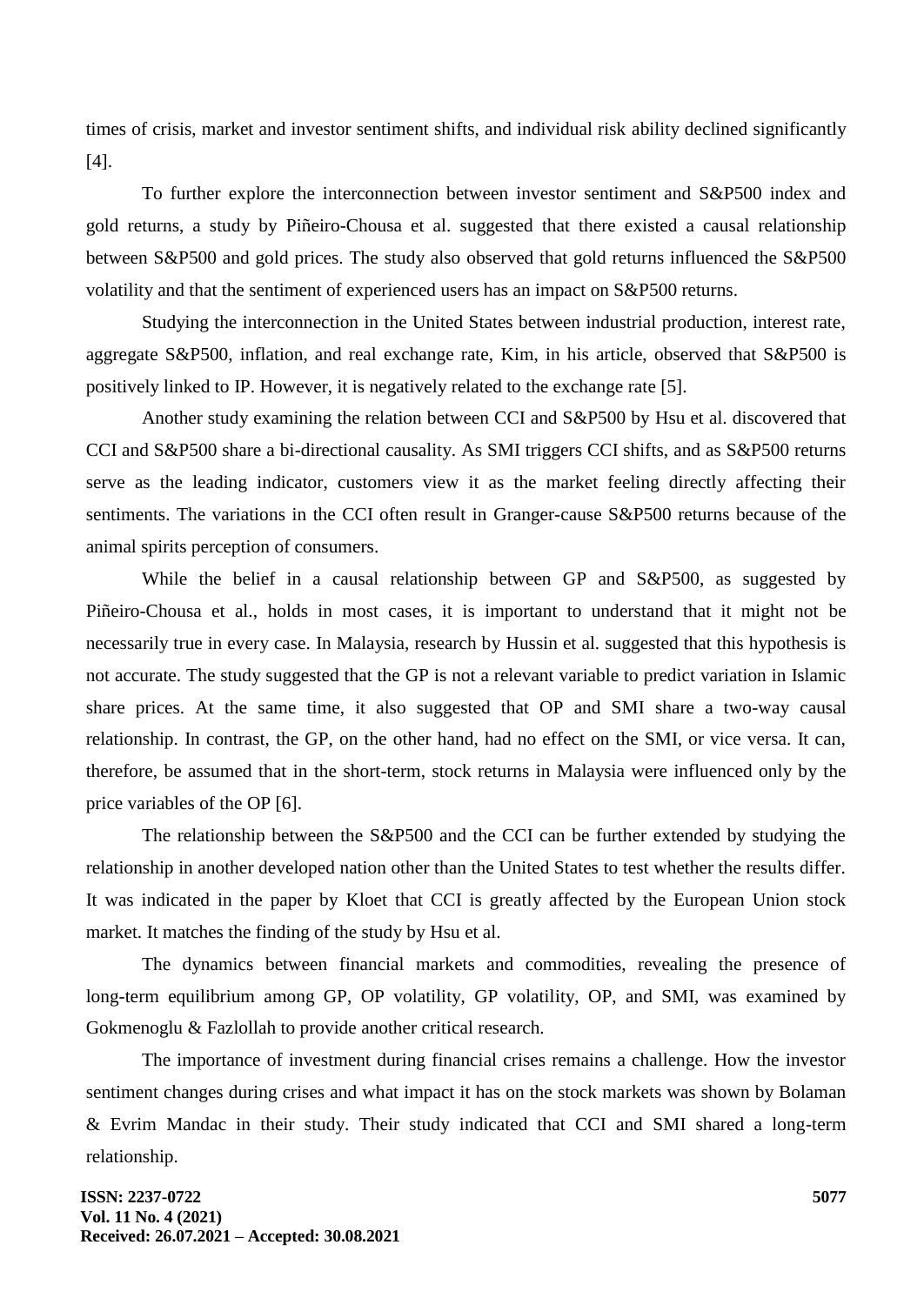times of crisis, market and investor sentiment shifts, and individual risk ability declined significantly [4].

To further explore the interconnection between investor sentiment and S&P500 index and gold returns, a study by Piñeiro-Chousa et al. suggested that there existed a causal relationship between S&P500 and gold prices. The study also observed that gold returns influenced the S&P500 volatility and that the sentiment of experienced users has an impact on S&P500 returns.

Studying the interconnection in the United States between industrial production, interest rate, aggregate S&P500, inflation, and real exchange rate, Kim, in his article, observed that S&P500 is positively linked to IP. However, it is negatively related to the exchange rate [5].

Another study examining the relation between CCI and S&P500 by Hsu et al. discovered that CCI and S&P500 share a bi-directional causality. As SMI triggers CCI shifts, and as S&P500 returns serve as the leading indicator, customers view it as the market feeling directly affecting their sentiments. The variations in the CCI often result in Granger-cause S&P500 returns because of the animal spirits perception of consumers.

While the belief in a causal relationship between GP and S&P500, as suggested by Piñeiro-Chousa et al., holds in most cases, it is important to understand that it might not be necessarily true in every case. In Malaysia, research by Hussin et al. suggested that this hypothesis is not accurate. The study suggested that the GP is not a relevant variable to predict variation in Islamic share prices. At the same time, it also suggested that OP and SMI share a two-way causal relationship. In contrast, the GP, on the other hand, had no effect on the SMI, or vice versa. It can, therefore, be assumed that in the short-term, stock returns in Malaysia were influenced only by the price variables of the OP [6].

The relationship between the S&P500 and the CCI can be further extended by studying the relationship in another developed nation other than the United States to test whether the results differ. It was indicated in the paper by Kloet that CCI is greatly affected by the European Union stock market. It matches the finding of the study by Hsu et al.

The dynamics between financial markets and commodities, revealing the presence of long-term equilibrium among GP, OP volatility, GP volatility, OP, and SMI, was examined by Gokmenoglu & Fazlollah to provide another critical research.

The importance of investment during financial crises remains a challenge. How the investor sentiment changes during crises and what impact it has on the stock markets was shown by Bolaman & Evrim Mandac in their study. Their study indicated that CCI and SMI shared a long-term relationship.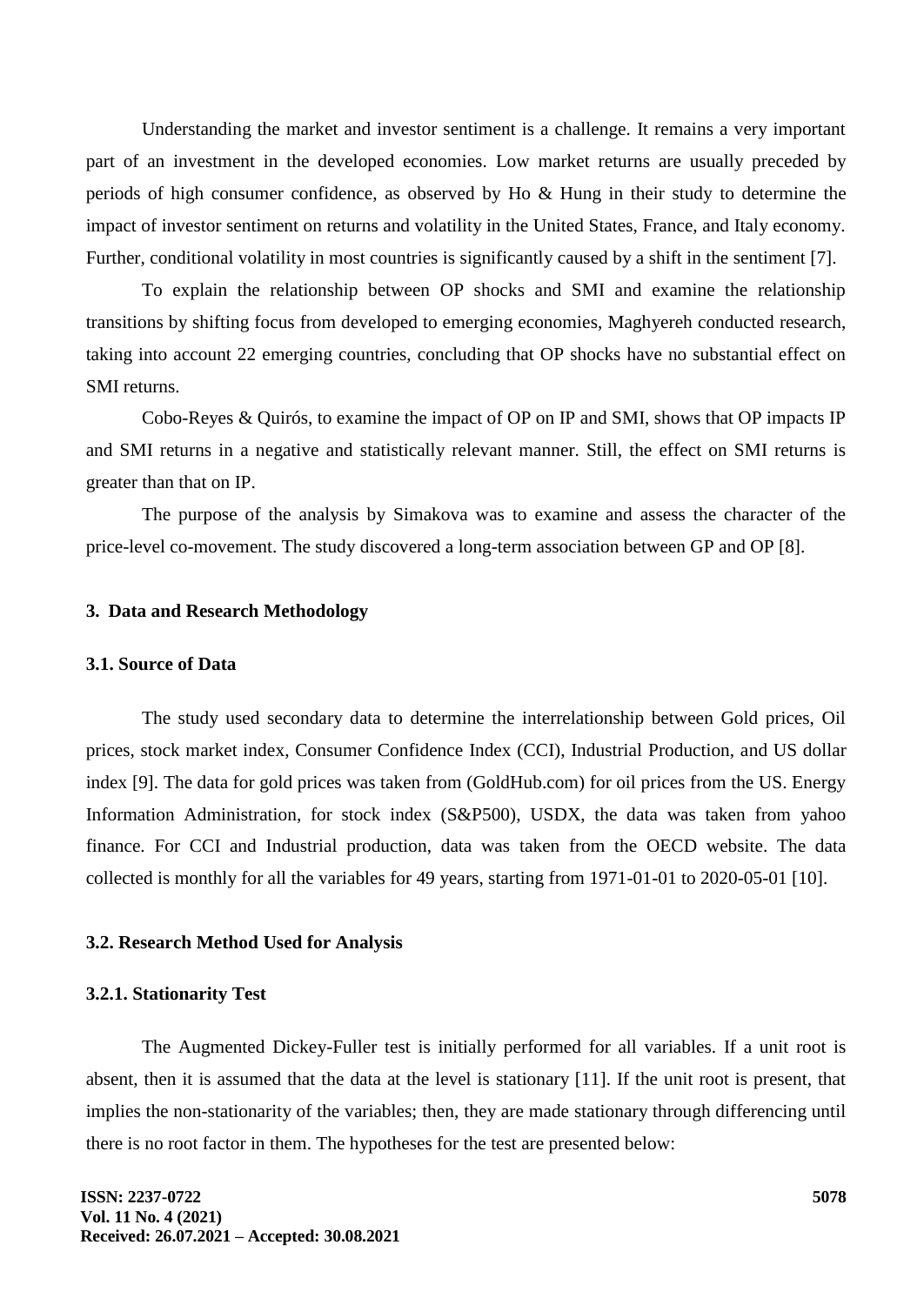Understanding the market and investor sentiment is a challenge. It remains a very important part of an investment in the developed economies. Low market returns are usually preceded by periods of high consumer confidence, as observed by Ho & Hung in their study to determine the impact of investor sentiment on returns and volatility in the United States, France, and Italy economy. Further, conditional volatility in most countries is significantly caused by a shift in the sentiment [7].

To explain the relationship between OP shocks and SMI and examine the relationship transitions by shifting focus from developed to emerging economies, Maghyereh conducted research, taking into account 22 emerging countries, concluding that OP shocks have no substantial effect on SMI returns.

Cobo-Reyes & Quirós, to examine the impact of OP on IP and SMI, shows that OP impacts IP and SMI returns in a negative and statistically relevant manner. Still, the effect on SMI returns is greater than that on IP.

The purpose of the analysis by Simakova was to examine and assess the character of the price-level co-movement. The study discovered a long-term association between GP and OP [8].

#### **3. Data and Research Methodology**

# **3.1. Source of Data**

The study used secondary data to determine the interrelationship between Gold prices, Oil prices, stock market index, Consumer Confidence Index (CCI), Industrial Production, and US dollar index [9]. The data for gold prices was taken from (GoldHub.com) for oil prices from the US. Energy Information Administration, for stock index (S&P500), USDX, the data was taken from yahoo finance. For CCI and Industrial production, data was taken from the OECD website. The data collected is monthly for all the variables for 49 years, starting from 1971-01-01 to 2020-05-01 [10].

#### **3.2. Research Method Used for Analysis**

# **3.2.1. Stationarity Test**

The Augmented Dickey-Fuller test is initially performed for all variables. If a unit root is absent, then it is assumed that the data at the level is stationary [11]. If the unit root is present, that implies the non-stationarity of the variables; then, they are made stationary through differencing until there is no root factor in them. The hypotheses for the test are presented below: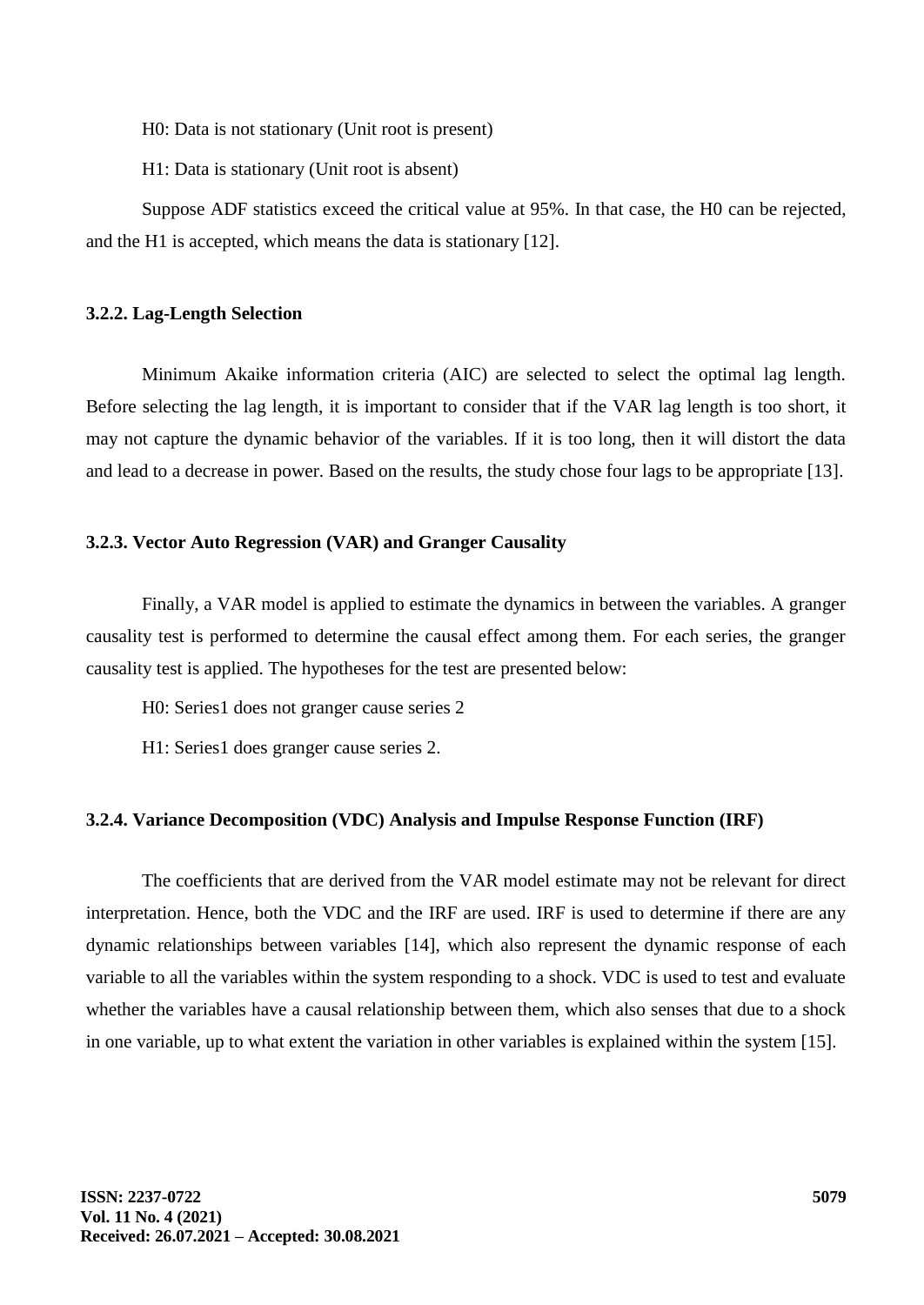H0: Data is not stationary (Unit root is present)

H1: Data is stationary (Unit root is absent)

Suppose ADF statistics exceed the critical value at 95%. In that case, the H0 can be rejected, and the H1 is accepted, which means the data is stationary [12].

#### **3.2.2. Lag-Length Selection**

Minimum Akaike information criteria (AIC) are selected to select the optimal lag length. Before selecting the lag length, it is important to consider that if the VAR lag length is too short, it may not capture the dynamic behavior of the variables. If it is too long, then it will distort the data and lead to a decrease in power. Based on the results, the study chose four lags to be appropriate [13].

# **3.2.3. Vector Auto Regression (VAR) and Granger Causality**

Finally, a VAR model is applied to estimate the dynamics in between the variables. A granger causality test is performed to determine the causal effect among them. For each series, the granger causality test is applied. The hypotheses for the test are presented below:

H0: Series1 does not granger cause series 2

H1: Series1 does granger cause series 2.

## **3.2.4. Variance Decomposition (VDC) Analysis and Impulse Response Function (IRF)**

The coefficients that are derived from the VAR model estimate may not be relevant for direct interpretation. Hence, both the VDC and the IRF are used. IRF is used to determine if there are any dynamic relationships between variables [14], which also represent the dynamic response of each variable to all the variables within the system responding to a shock. VDC is used to test and evaluate whether the variables have a causal relationship between them, which also senses that due to a shock in one variable, up to what extent the variation in other variables is explained within the system [15].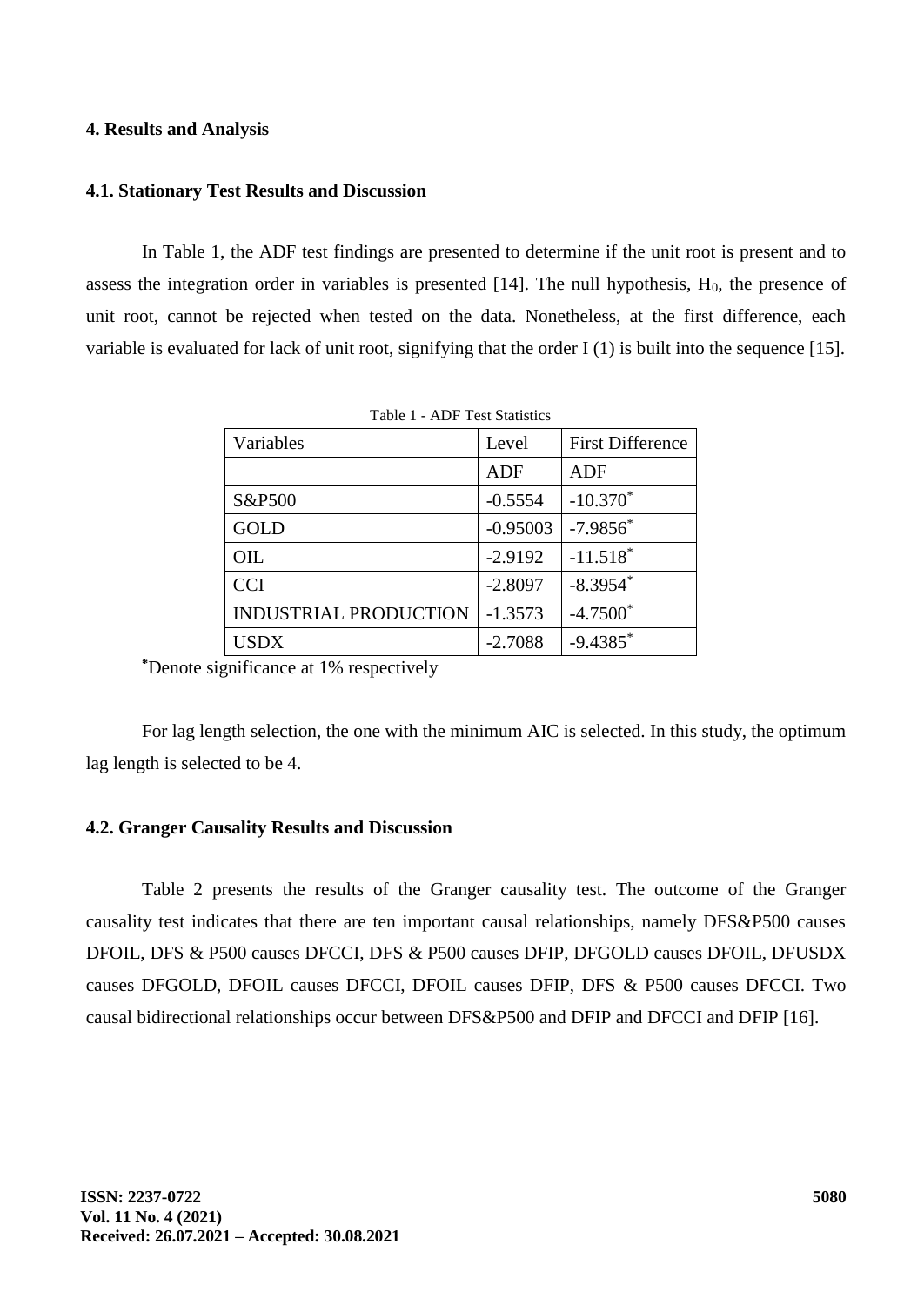#### **4. Results and Analysis**

## **4.1. Stationary Test Results and Discussion**

In Table 1, the ADF test findings are presented to determine if the unit root is present and to assess the integration order in variables is presented  $[14]$ . The null hypothesis,  $H_0$ , the presence of unit root, cannot be rejected when tested on the data. Nonetheless, at the first difference, each variable is evaluated for lack of unit root, signifying that the order I (1) is built into the sequence [15].

| Variables                    | Level      | <b>First Difference</b> |  |
|------------------------------|------------|-------------------------|--|
|                              | <b>ADF</b> | ADF                     |  |
| S&P500                       | $-0.5554$  | $-10.370*$              |  |
| <b>GOLD</b>                  | $-0.95003$ | $-7.9856$ *             |  |
| OIL                          | $-2.9192$  | $-11.518$ <sup>*</sup>  |  |
| <b>CCI</b>                   | $-2.8097$  | $-8.3954$ *             |  |
| <b>INDUSTRIAL PRODUCTION</b> | $-1.3573$  | $-4.7500*$              |  |
| USDX                         | $-2.7088$  | $-9.4385$ *             |  |

Table 1 - ADF Test Statistics

**\***Denote significance at 1% respectively

For lag length selection, the one with the minimum AIC is selected. In this study, the optimum lag length is selected to be 4.

# **4.2. Granger Causality Results and Discussion**

Table 2 presents the results of the Granger causality test. The outcome of the Granger causality test indicates that there are ten important causal relationships, namely DFS&P500 causes DFOIL, DFS & P500 causes DFCCI, DFS & P500 causes DFIP, DFGOLD causes DFOIL, DFUSDX causes DFGOLD, DFOIL causes DFCCI, DFOIL causes DFIP, DFS & P500 causes DFCCI. Two causal bidirectional relationships occur between DFS&P500 and DFIP and DFCCI and DFIP [16].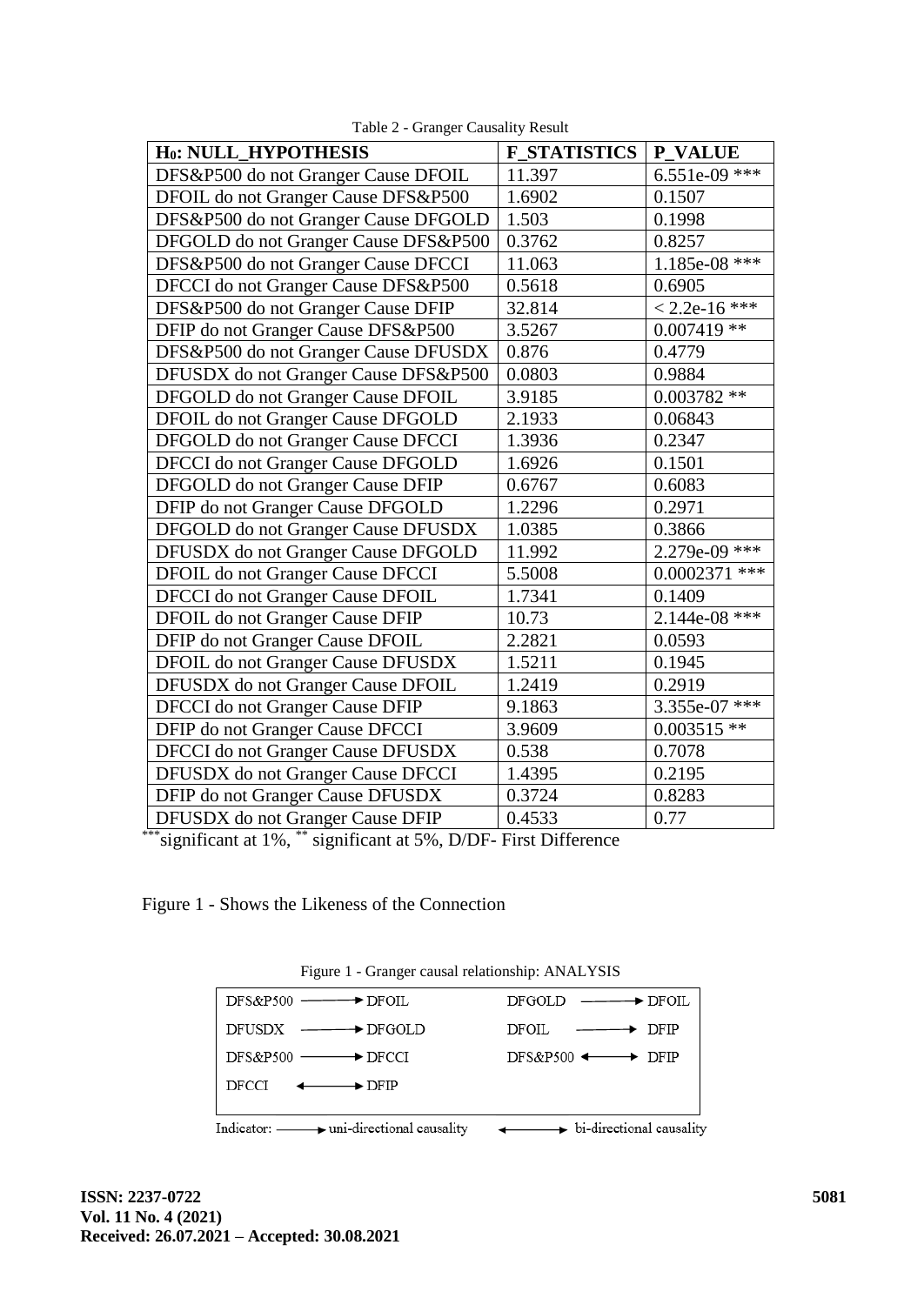| H <sub>0</sub> : NULL_HYPOTHESIS       | <b>F STATISTICS</b> | <b>P_VALUE</b>  |  |
|----------------------------------------|---------------------|-----------------|--|
| DFS&P500 do not Granger Cause DFOIL    | 11.397              | 6.551e-09 ***   |  |
| DFOIL do not Granger Cause DFS&P500    | 1.6902              | 0.1507          |  |
| DFS&P500 do not Granger Cause DFGOLD   | 1.503               | 0.1998          |  |
| DFGOLD do not Granger Cause DFS&P500   | 0.3762              | 0.8257          |  |
| DFS&P500 do not Granger Cause DFCCI    | 11.063              | $1.185e-08$ *** |  |
| DFCCI do not Granger Cause DFS&P500    | 0.5618              | 0.6905          |  |
| DFS&P500 do not Granger Cause DFIP     | 32.814              | $< 2.2e-16$ *** |  |
| DFIP do not Granger Cause DFS&P500     | 3.5267              | $0.007419$ **   |  |
| DFS&P500 do not Granger Cause DFUSDX   | 0.876               | 0.4779          |  |
| DFUSDX do not Granger Cause DFS&P500   | 0.0803              | 0.9884          |  |
| DFGOLD do not Granger Cause DFOIL      | 3.9185              | $0.003782**$    |  |
| DFOIL do not Granger Cause DFGOLD      | 2.1933              | 0.06843         |  |
| DFGOLD do not Granger Cause DFCCI      | 1.3936              | 0.2347          |  |
| DFCCI do not Granger Cause DFGOLD      | 1.6926              | 0.1501          |  |
| DFGOLD do not Granger Cause DFIP       | 0.6767              | 0.6083          |  |
| DFIP do not Granger Cause DFGOLD       | 1.2296              | 0.2971          |  |
| DFGOLD do not Granger Cause DFUSDX     | 1.0385              | 0.3866          |  |
| DFUSDX do not Granger Cause DFGOLD     | 11.992              | $2.279e-09$ *** |  |
| DFOIL do not Granger Cause DFCCI       | 5.5008              | $0.0002371$ *** |  |
| DFCCI do not Granger Cause DFOIL       | 1.7341              | 0.1409          |  |
| DFOIL do not Granger Cause DFIP        | 10.73               | $2.144e-08$ *** |  |
| DFIP do not Granger Cause DFOIL        | 2.2821              | 0.0593          |  |
| DFOIL do not Granger Cause DFUSDX      | 1.5211              | 0.1945          |  |
| DFUSDX do not Granger Cause DFOIL      | 1.2419              | 0.2919          |  |
| <b>DFCCI</b> do not Granger Cause DFIP | 9.1863              | 3.355e-07 ***   |  |
| DFIP do not Granger Cause DFCCI        | 3.9609              | $0.003515$ **   |  |
| DFCCI do not Granger Cause DFUSDX      | 0.538               | 0.7078          |  |
| DFUSDX do not Granger Cause DFCCI      | 1.4395              | 0.2195          |  |
| DFIP do not Granger Cause DFUSDX       | 0.3724              | 0.8283          |  |
| DFUSDX do not Granger Cause DFIP       | 0.4533              | 0.77            |  |

Table 2 - Granger Causality Result

\*\*\*significant at 1%, \*\* significant at 5%, D/DF- First Difference

Figure 1 - Shows the Likeness of the Connection

| $1.15$ and $1.01$ cannot called the control of $1.11$ and $1.010$                                 |                                                                                                   |
|---------------------------------------------------------------------------------------------------|---------------------------------------------------------------------------------------------------|
|                                                                                                   | $DFGOLD \n\longrightarrow \nDFOIL$                                                                |
| $DFUSDX \nightharpoonup\longrightarrow DFGOLD$                                                    | $DFOIL \n\longrightarrow \n\begin{array}{ccc}\n\downarrow & \downarrow & \downarrow\n\end{array}$ |
| $DFS\&P500 \longrightarrow DFCCI$                                                                 | DFS&P500 $\longleftrightarrow$ DFIP                                                               |
| $DFCCI \leftarrow \longrightarrow DFIP$                                                           |                                                                                                   |
| Indicator: $\longrightarrow$ uni-directional causality $\longrightarrow$ bi-directional causality |                                                                                                   |

Figure 1 - Granger causal relationship: ANALYSIS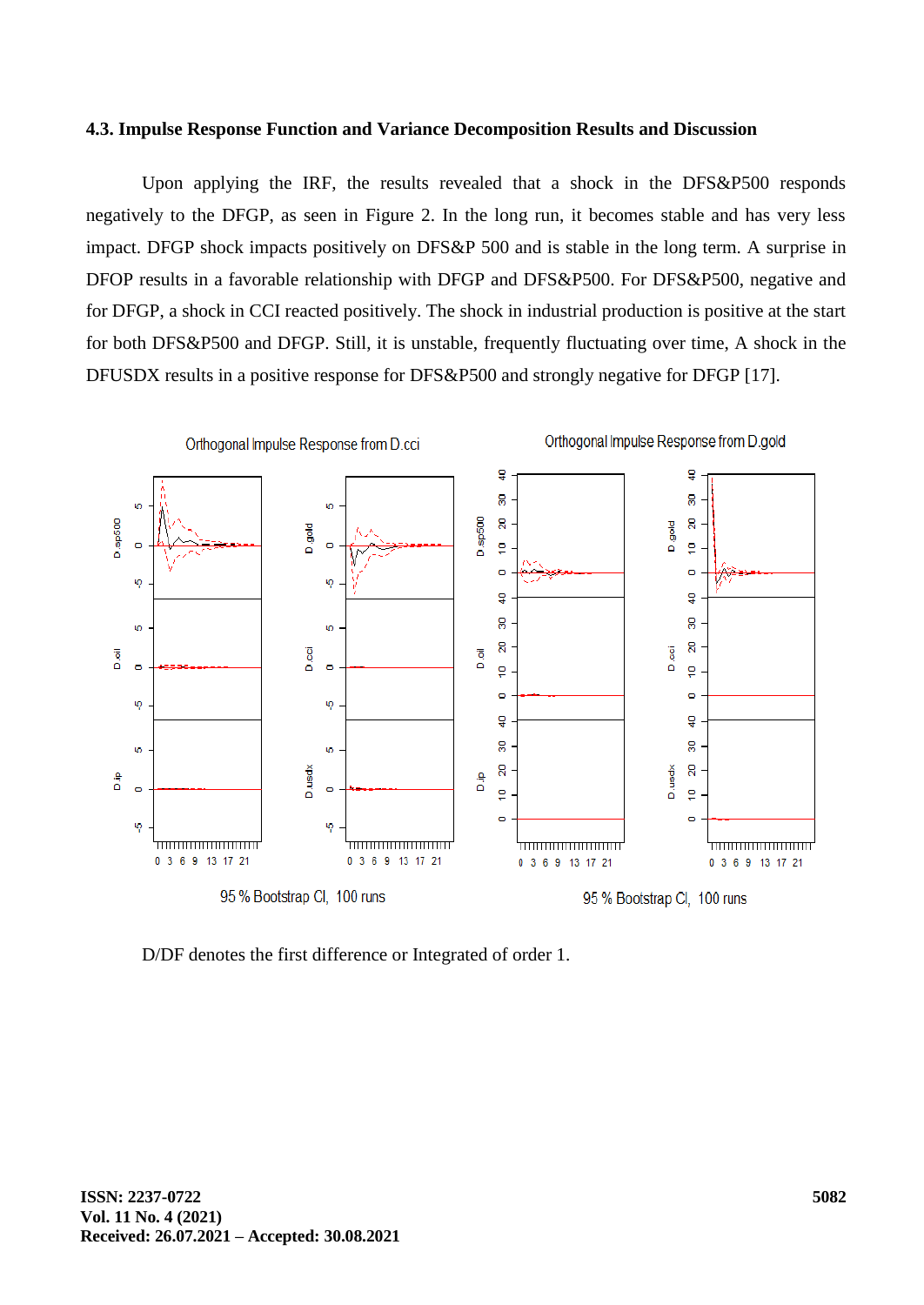# **4.3. Impulse Response Function and Variance Decomposition Results and Discussion**

Upon applying the IRF, the results revealed that a shock in the DFS&P500 responds negatively to the DFGP, as seen in Figure 2. In the long run, it becomes stable and has very less impact. DFGP shock impacts positively on DFS&P 500 and is stable in the long term. A surprise in DFOP results in a favorable relationship with DFGP and DFS&P500. For DFS&P500, negative and for DFGP, a shock in CCI reacted positively. The shock in industrial production is positive at the start for both DFS&P500 and DFGP. Still, it is unstable, frequently fluctuating over time, A shock in the DFUSDX results in a positive response for DFS&P500 and strongly negative for DFGP [17].



D/DF denotes the first difference or Integrated of order 1.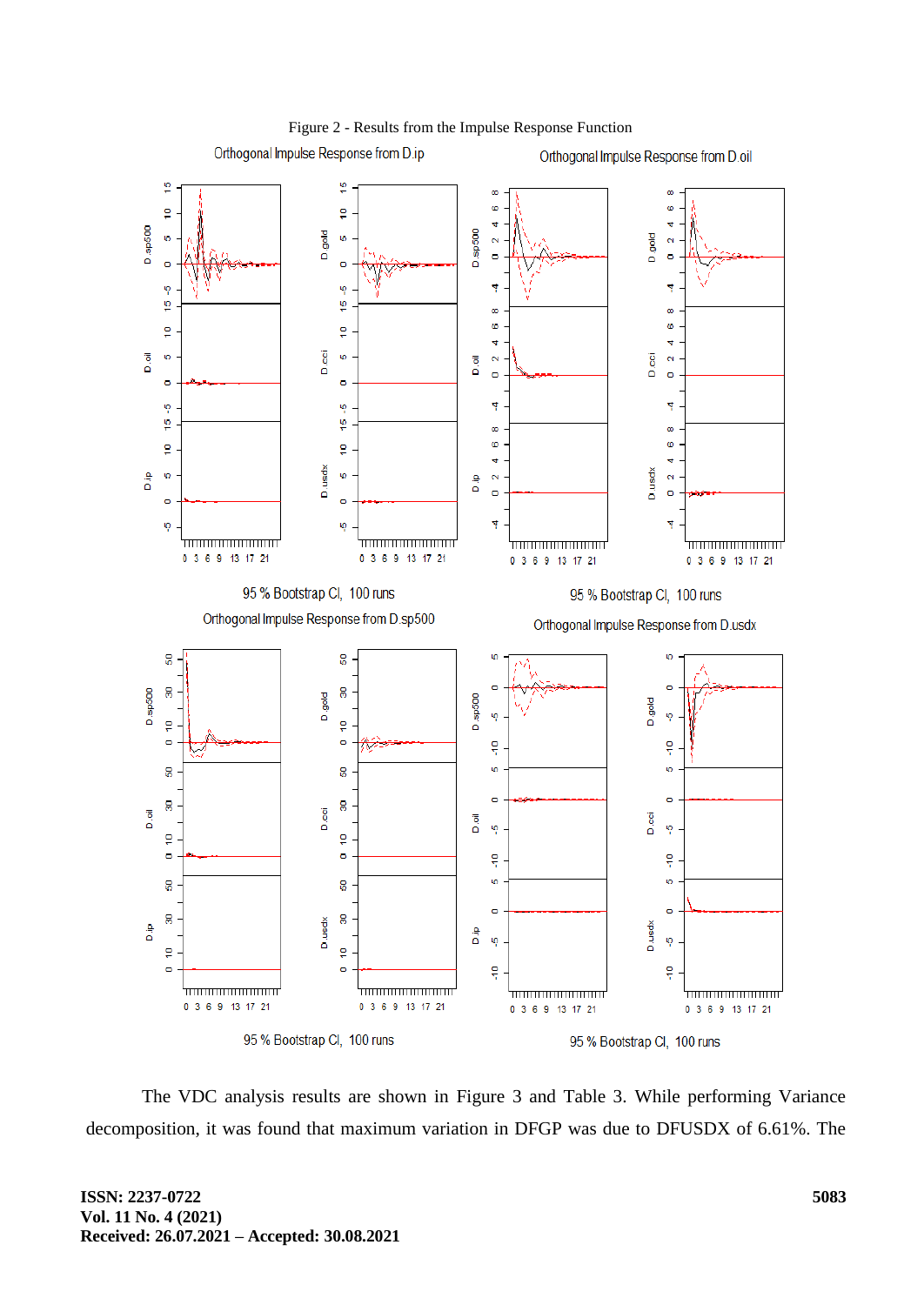

# Figure 2 - Results from the Impulse Response Function

The VDC analysis results are shown in Figure 3 and Table 3. While performing Variance decomposition, it was found that maximum variation in DFGP was due to DFUSDX of 6.61%. The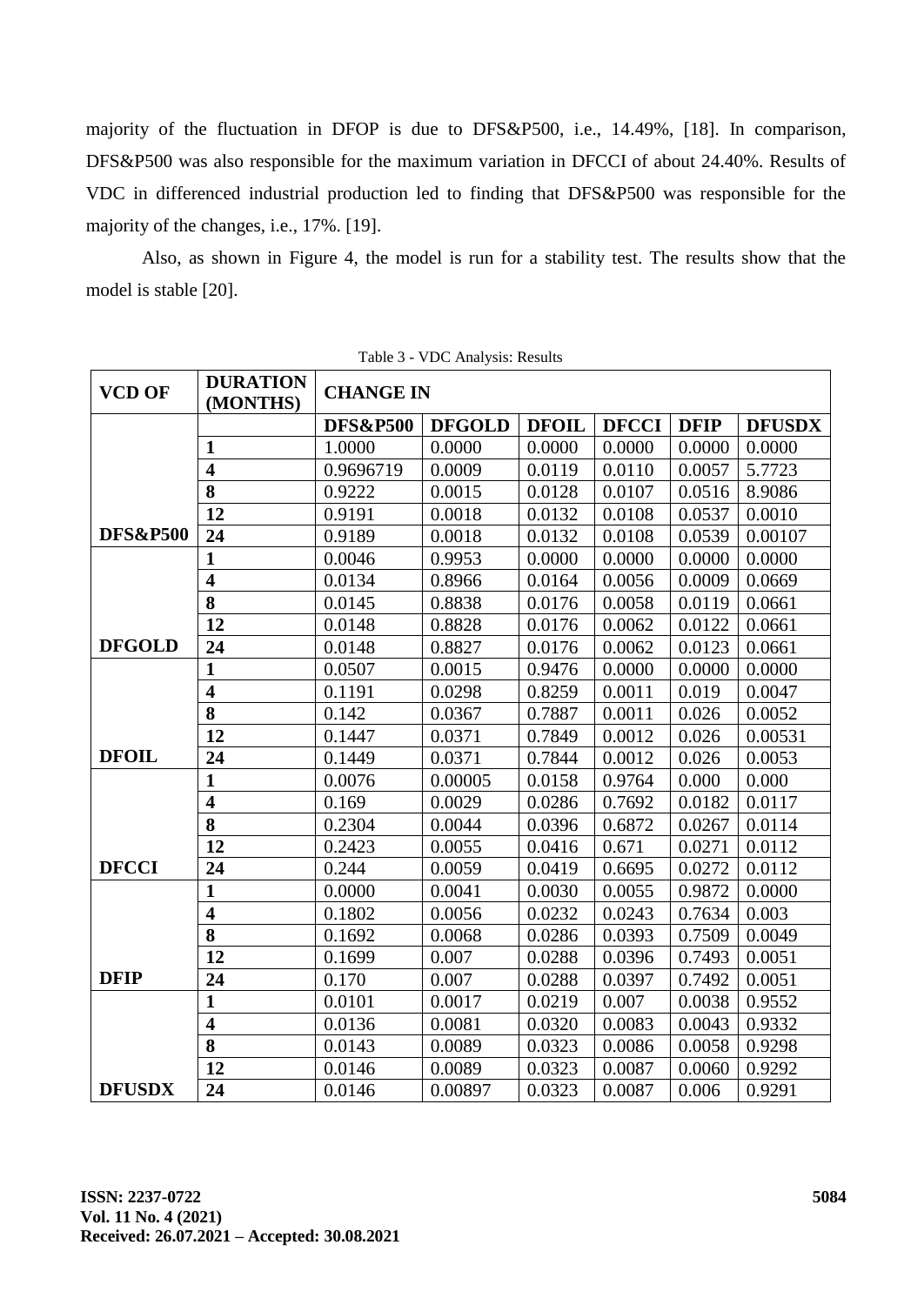majority of the fluctuation in DFOP is due to DFS&P500, i.e., 14.49%, [18]. In comparison, DFS&P500 was also responsible for the maximum variation in DFCCI of about 24.40%. Results of VDC in differenced industrial production led to finding that DFS&P500 was responsible for the majority of the changes, i.e., 17%. [19].

Also, as shown in Figure 4, the model is run for a stability test. The results show that the model is stable [20].

| <b>VCD OF</b>       | <b>DURATION</b><br>(MONTHS) | <b>CHANGE IN</b>    |               |              |              |             |               |
|---------------------|-----------------------------|---------------------|---------------|--------------|--------------|-------------|---------------|
|                     |                             | <b>DFS&amp;P500</b> | <b>DFGOLD</b> | <b>DFOIL</b> | <b>DFCCI</b> | <b>DFIP</b> | <b>DFUSDX</b> |
|                     | $\mathbf{1}$                | 1.0000              | 0.0000        | 0.0000       | 0.0000       | 0.0000      | 0.0000        |
|                     | $\overline{\mathbf{4}}$     | 0.9696719           | 0.0009        | 0.0119       | 0.0110       | 0.0057      | 5.7723        |
|                     | 8                           | 0.9222              | 0.0015        | 0.0128       | 0.0107       | 0.0516      | 8.9086        |
|                     | 12                          | 0.9191              | 0.0018        | 0.0132       | 0.0108       | 0.0537      | 0.0010        |
| <b>DFS&amp;P500</b> | 24                          | 0.9189              | 0.0018        | 0.0132       | 0.0108       | 0.0539      | 0.00107       |
|                     | $\mathbf{1}$                | 0.0046              | 0.9953        | 0.0000       | 0.0000       | 0.0000      | 0.0000        |
|                     | $\overline{\mathbf{4}}$     | 0.0134              | 0.8966        | 0.0164       | 0.0056       | 0.0009      | 0.0669        |
|                     | 8                           | 0.0145              | 0.8838        | 0.0176       | 0.0058       | 0.0119      | 0.0661        |
|                     | 12                          | 0.0148              | 0.8828        | 0.0176       | 0.0062       | 0.0122      | 0.0661        |
| <b>DFGOLD</b>       | 24                          | 0.0148              | 0.8827        | 0.0176       | 0.0062       | 0.0123      | 0.0661        |
|                     | $\mathbf{1}$                | 0.0507              | 0.0015        | 0.9476       | 0.0000       | 0.0000      | 0.0000        |
|                     | $\overline{\mathbf{4}}$     | 0.1191              | 0.0298        | 0.8259       | 0.0011       | 0.019       | 0.0047        |
|                     | 8                           | 0.142               | 0.0367        | 0.7887       | 0.0011       | 0.026       | 0.0052        |
|                     | 12                          | 0.1447              | 0.0371        | 0.7849       | 0.0012       | 0.026       | 0.00531       |
| <b>DFOIL</b>        | 24                          | 0.1449              | 0.0371        | 0.7844       | 0.0012       | 0.026       | 0.0053        |
|                     | $\mathbf{1}$                | 0.0076              | 0.00005       | 0.0158       | 0.9764       | 0.000       | 0.000         |
|                     | $\overline{\mathbf{4}}$     | 0.169               | 0.0029        | 0.0286       | 0.7692       | 0.0182      | 0.0117        |
|                     | 8                           | 0.2304              | 0.0044        | 0.0396       | 0.6872       | 0.0267      | 0.0114        |
|                     | 12                          | 0.2423              | 0.0055        | 0.0416       | 0.671        | 0.0271      | 0.0112        |
| <b>DFCCI</b>        | 24                          | 0.244               | 0.0059        | 0.0419       | 0.6695       | 0.0272      | 0.0112        |
|                     | $\mathbf{1}$                | 0.0000              | 0.0041        | 0.0030       | 0.0055       | 0.9872      | 0.0000        |
|                     | $\overline{\mathbf{4}}$     | 0.1802              | 0.0056        | 0.0232       | 0.0243       | 0.7634      | 0.003         |
|                     | 8                           | 0.1692              | 0.0068        | 0.0286       | 0.0393       | 0.7509      | 0.0049        |
|                     | 12                          | 0.1699              | 0.007         | 0.0288       | 0.0396       | 0.7493      | 0.0051        |
| <b>DFIP</b>         | 24                          | 0.170               | 0.007         | 0.0288       | 0.0397       | 0.7492      | 0.0051        |
|                     | $\mathbf{1}$                | 0.0101              | 0.0017        | 0.0219       | 0.007        | 0.0038      | 0.9552        |
|                     | $\overline{\mathbf{4}}$     | 0.0136              | 0.0081        | 0.0320       | 0.0083       | 0.0043      | 0.9332        |
|                     | 8                           | 0.0143              | 0.0089        | 0.0323       | 0.0086       | 0.0058      | 0.9298        |
|                     | 12                          | 0.0146              | 0.0089        | 0.0323       | 0.0087       | 0.0060      | 0.9292        |
| <b>DFUSDX</b>       | 24                          | 0.0146              | 0.00897       | 0.0323       | 0.0087       | 0.006       | 0.9291        |

Table 3 - VDC Analysis: Results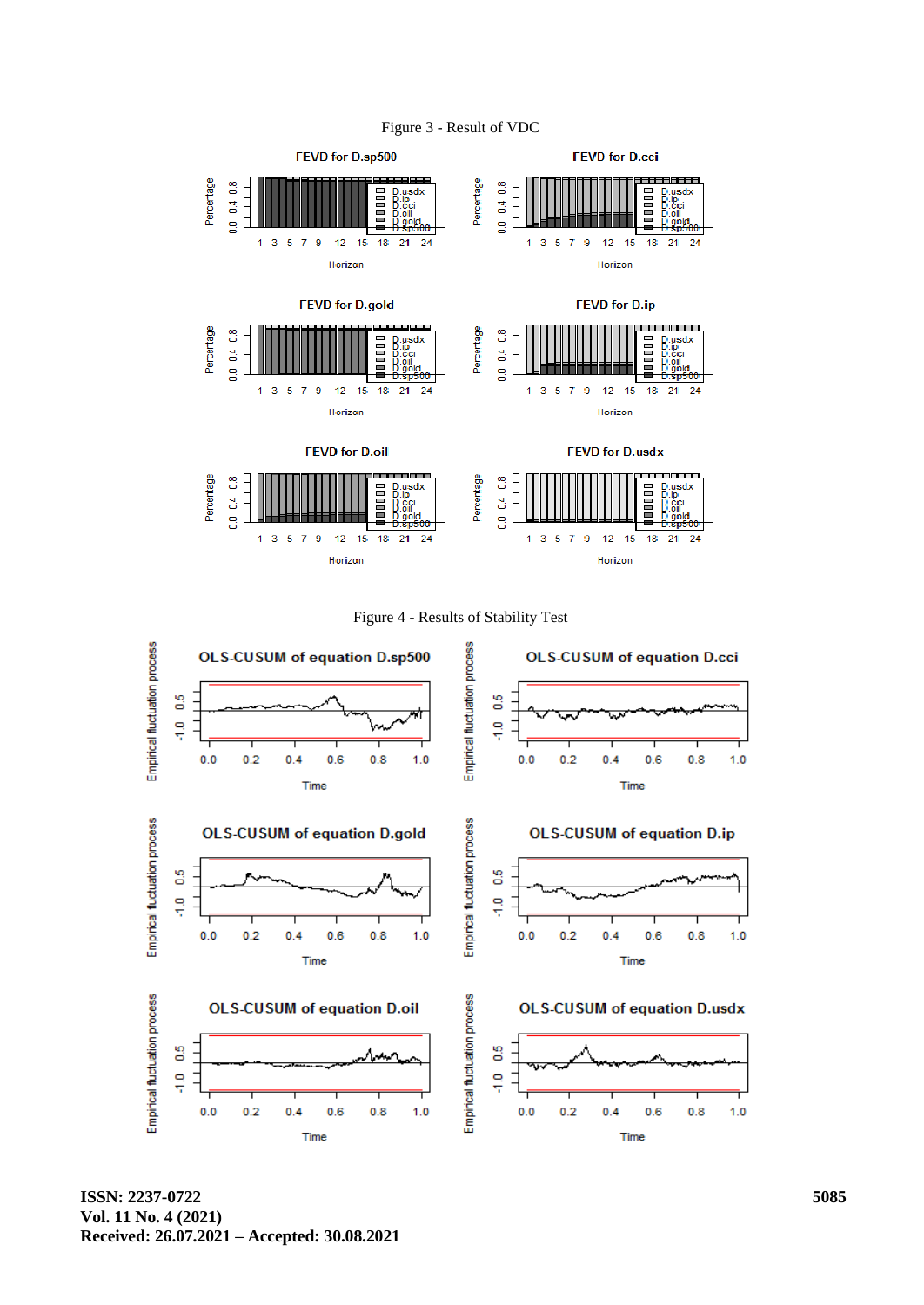![](_page_10_Figure_0.jpeg)

Figure 4 - Results of Stability Test

![](_page_10_Figure_2.jpeg)

**ISSN: 2237-0722 Vol. 11 No. 4 (2021) Received: 26.07.2021 – Accepted: 30.08.2021**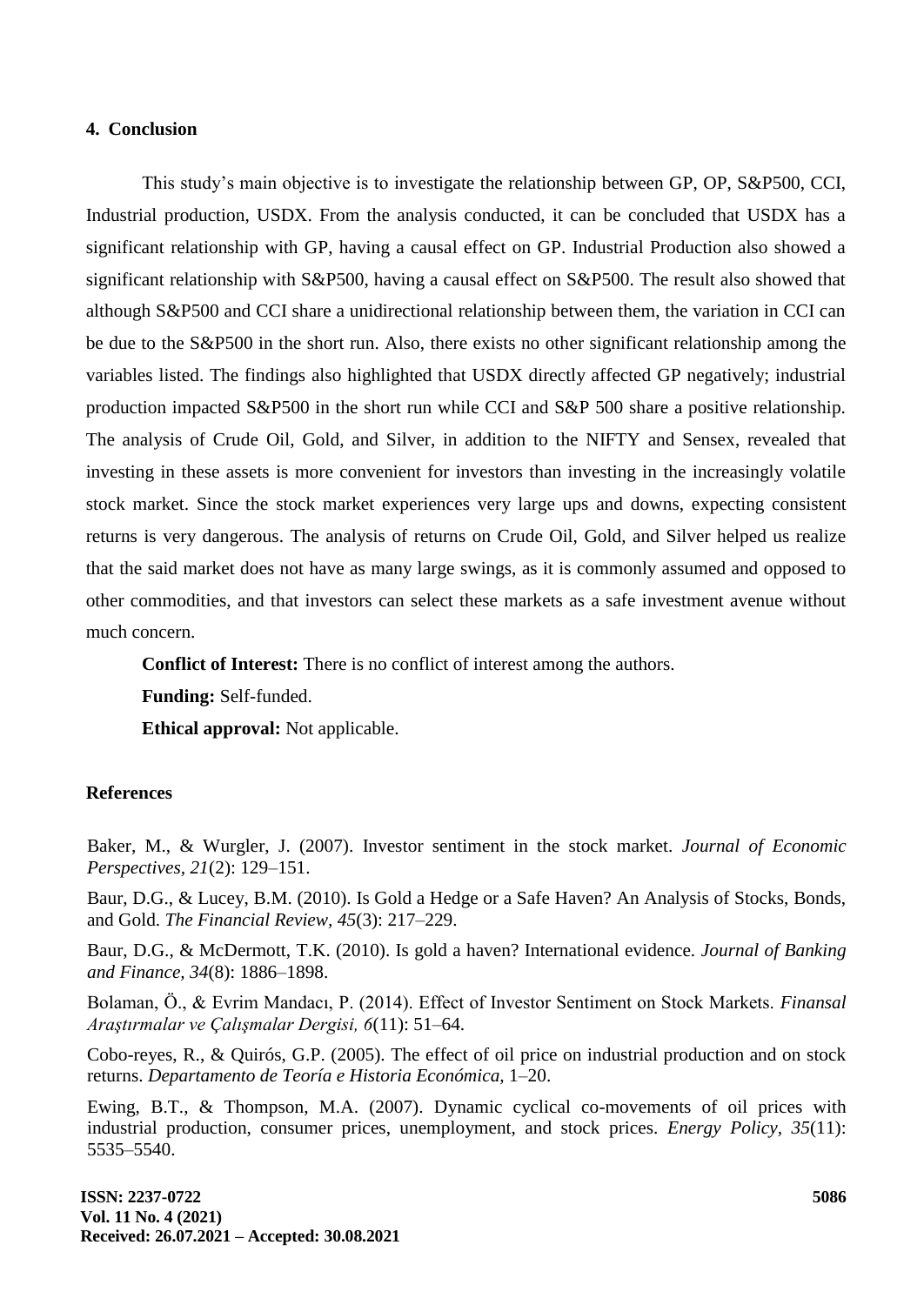# **4. Conclusion**

This study's main objective is to investigate the relationship between GP, OP, S&P500, CCI, Industrial production, USDX. From the analysis conducted, it can be concluded that USDX has a significant relationship with GP, having a causal effect on GP. Industrial Production also showed a significant relationship with S&P500, having a causal effect on S&P500. The result also showed that although S&P500 and CCI share a unidirectional relationship between them, the variation in CCI can be due to the S&P500 in the short run. Also, there exists no other significant relationship among the variables listed. The findings also highlighted that USDX directly affected GP negatively; industrial production impacted S&P500 in the short run while CCI and S&P 500 share a positive relationship. The analysis of Crude Oil, Gold, and Silver, in addition to the NIFTY and Sensex, revealed that investing in these assets is more convenient for investors than investing in the increasingly volatile stock market. Since the stock market experiences very large ups and downs, expecting consistent returns is very dangerous. The analysis of returns on Crude Oil, Gold, and Silver helped us realize that the said market does not have as many large swings, as it is commonly assumed and opposed to other commodities, and that investors can select these markets as a safe investment avenue without much concern.

**Conflict of Interest:** There is no conflict of interest among the authors.

**Funding:** Self-funded.

**Ethical approval:** Not applicable.

# **References**

Baker, M., & Wurgler, J. (2007). Investor sentiment in the stock market. *Journal of Economic Perspectives, 21*(2): 129–151.

Baur, D.G., & Lucey, B.M. (2010). Is Gold a Hedge or a Safe Haven? An Analysis of Stocks, Bonds, and Gold. *The Financial Review, 45*(3): 217–229.

Baur, D.G., & McDermott, T.K. (2010). Is gold a haven? International evidence. *Journal of Banking and Finance, 34*(8): 1886–1898.

Bolaman, Ö., & Evrim Mandacı, P. (2014). Effect of Investor Sentiment on Stock Markets. *Finansal Araştırmalar ve Çalışmalar Dergisi, 6*(11): 51–64.

Cobo-reyes, R., & Quirós, G.P. (2005). The effect of oil price on industrial production and on stock returns. *Departamento de Teoría e Historia Económica,* 1–20.

Ewing, B.T., & Thompson, M.A. (2007). Dynamic cyclical co-movements of oil prices with industrial production, consumer prices, unemployment, and stock prices. *Energy Policy, 35*(11): 5535–5540.